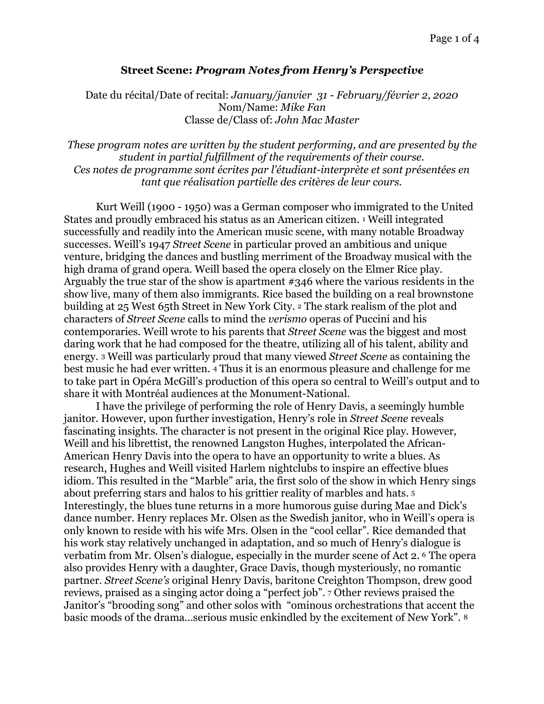## <span id="page-0-0"></span>**Street Scene:** *Program Notes from Henry's Perspective*

Date du récital/Date of recital: *January/janvier 31 - February/février 2, 2020* Nom/Name: *Mike Fan*  Classe de/Class of: *John Mac Master* 

*These program notes are written by the student performing, and are presented by the student in partial fulfillment of the requirements of their course. Ces notes de programme sont écrites par l'étudiant-interprète et sont présentées en tant que réalisation partielle des critères de leur cours.* 

<span id="page-0-1"></span> Kurt Weill (1900 - 1950) was a German composer who immigrated to the United States and proudly embraced his status as an American citizen. <sup>[1](#page-3-0)</sup> Weill integrated successfully and readily into the American music scene, with many notable Broadway successes. Weill's 1947 *Street Scene* in particular proved an ambitious and unique venture, bridging the dances and bustling merriment of the Broadway musical with the high drama of grand opera. Weill based the opera closely on the Elmer Rice play. Arguably the true star of the show is apartment #346 where the various residents in the show live, many of them also immigrants. Rice based the building on a real brownstone building at 25 West 65th Street in New York City. [2](#page-3-1) The stark realism of the plot and characters of *Street Scene* calls to mind the *verismo* operas of Puccini and his contemporaries. Weill wrote to his parents that *Street Scene* was the biggest and most daring work that he had composed for the theatre, utilizing all of his talent, ability and energy. [3](#page-3-2) Weill was particularly proud that many viewed *Street Scene* as containing the best music he had ever written. [4](#page-3-3) Thus it is an enormous pleasure and challenge for me to take part in Opéra McGill's production of this opera so central to Weill's output and to share it with Montréal audiences at the Monument-National.

<span id="page-0-7"></span><span id="page-0-6"></span><span id="page-0-5"></span><span id="page-0-4"></span><span id="page-0-3"></span><span id="page-0-2"></span> I have the privilege of performing the role of Henry Davis, a seemingly humble janitor. However, upon further investigation, Henry's role in *Street Scene* reveals fascinating insights. The character is not present in the original Rice play. However, Weill and his librettist, the renowned Langston Hughes, interpolated the African-American Henry Davis into the opera to have an opportunity to write a blues. As research, Hughes and Weill visited Harlem nightclubs to inspire an effective blues idiom. This resulted in the "Marble" aria, the first solo of the show in which Henry sings about preferring stars and halos to his grittier reality of marbles and hats. [5](#page-3-4) Interestingly, the blues tune returns in a more humorous guise during Mae and Dick's dance number. Henry replaces Mr. Olsen as the Swedish janitor, who in Weill's opera is only known to reside with his wife Mrs. Olsen in the "cool cellar". Rice demanded that his work stay relatively unchanged in adaptation, and so much of Henry's dialogue is verbatim from Mr. Olsen's dialogue, especially in the murder scene of Act 2. [6](#page-3-5) The opera also provides Henry with a daughter, Grace Davis, though mysteriously, no romantic partner. *Street Scene's* original Henry Davis, baritone Creighton Thompson, drew good reviews, praised as a singing actor doing a "perfect job". [7](#page-3-6) Other reviews praised the Janitor's "brooding song" and other solos with "ominous orchestrations that accent the basic moods of the drama…serious music enkindled by the excitement of New York". [8](#page-3-7)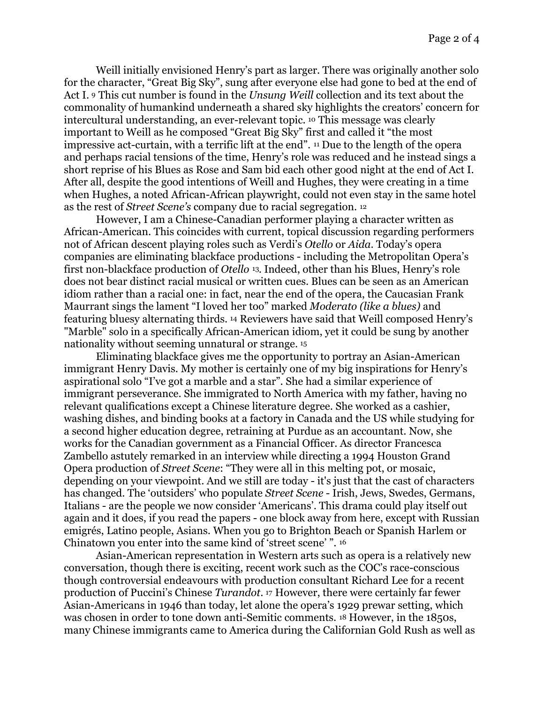<span id="page-1-2"></span><span id="page-1-1"></span><span id="page-1-0"></span> Weill initially envisioned Henry's part as larger. There was originally another solo for the character, "Great Big Sky", sung after everyone else had gone to bed at the end of Act I. [9](#page-3-8) This cut number is found in the *Unsung Weill* collection and its text about the commonality of humankind underneath a shared sky highlights the creators' concern for interculturalunderstanding, an ever-relevant topic. <sup>[10](#page-3-9)</sup> This message was clearly important to Weill as he composed "Great Big Sky" first and called it "the most impressive act-curtain, with a terrific lift at the end".  $\mu$  Due to the length of the opera and perhaps racial tensions of the time, Henry's role was reduced and he instead sings a short reprise of his Blues as Rose and Sam bid each other good night at the end of Act I. After all, despite the good intentions of Weill and Hughes, they were creating in a time when Hughes, a noted African-African playwright, could not even stay in the same hotel as the rest of *Street Scene's* company due to racial segregation. [12](#page-3-11)

<span id="page-1-4"></span><span id="page-1-3"></span> However, I am a Chinese-Canadian performer playing a character written as African-American. This coincides with current, topical discussion regarding performers not of African descent playing roles such as Verdi's *Otello* or *Aida*. Today's opera companies are eliminating blackface productions - including the Metropolitan Opera's first non-blackface production of *Otello* <sup>[13](#page-3-12)</sup>. Indeed, other than his Blues, Henry's role does not bear distinct racial musical or written cues. Blues can be seen as an American idiom rather than a racial one: in fact, near the end of the opera, the Caucasian Frank Maurrant sings the lament "I loved her too" marked *Moderato (like a blues)* and featuringbluesy alternating thirds. <sup>[14](#page-3-13)</sup> Reviewers have said that Weill composed Henry's "Marble" solo in a specifically African-American idiom, yet it could be sung by another nationality without seeming unnatural or strange. [15](#page-3-14)

<span id="page-1-6"></span><span id="page-1-5"></span> Eliminating blackface gives me the opportunity to portray an Asian-American immigrant Henry Davis. My mother is certainly one of my big inspirations for Henry's aspirational solo "I've got a marble and a star". She had a similar experience of immigrant perseverance. She immigrated to North America with my father, having no relevant qualifications except a Chinese literature degree. She worked as a cashier, washing dishes, and binding books at a factory in Canada and the US while studying for a second higher education degree, retraining at Purdue as an accountant. Now, she works for the Canadian government as a Financial Officer. As director Francesca Zambello astutely remarked in an interview while directing a 1994 Houston Grand Opera production of *Street Scene*: "They were all in this melting pot, or mosaic, depending on your viewpoint. And we still are today - it's just that the cast of characters has changed. The 'outsiders' who populate *Street Scene* - Irish, Jews, Swedes, Germans, Italians - are the people we now consider 'Americans'. This drama could play itself out again and it does, if you read the papers - one block away from here, except with Russian emigrés, Latino people, Asians. When you go to Brighton Beach or Spanish Harlem or Chinatown you enter into the same kind of 'street scene' ". [16](#page-3-15)

<span id="page-1-9"></span><span id="page-1-8"></span><span id="page-1-7"></span> Asian-American representation in Western arts such as opera is a relatively new conversation, though there is exciting, recent work such as the COC's race-conscious though controversial endeavours with production consultant Richard Lee for a recent productionof Puccini's Chinese *Turandot*. <sup>[17](#page-3-16)</sup> However, there were certainly far fewer Asian-Americans in 1946 than today, let alone the opera's 1929 prewar setting, which was chosen in order to tone down anti-Semitic comments. [18](#page-3-17) However, in the 1850s, many Chinese immigrants came to America during the Californian Gold Rush as well as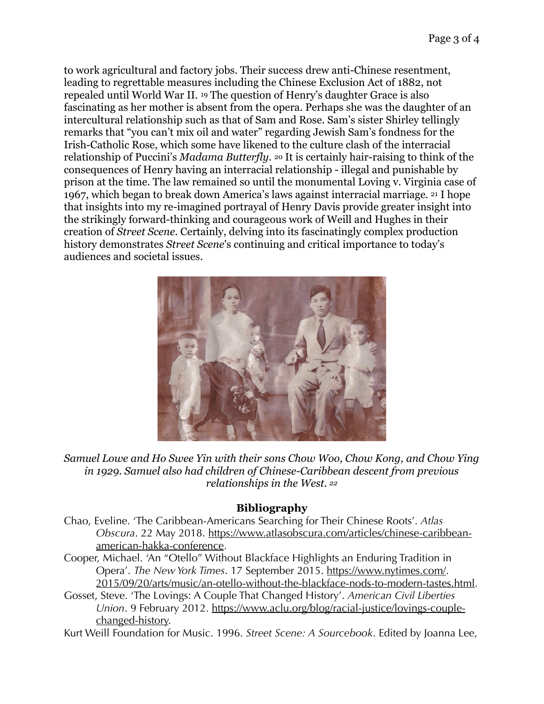<span id="page-2-0"></span>to work agricultural and factory jobs. Their success drew anti-Chinese resentment, leading to regrettable measures including the Chinese Exclusion Act of 1882, not repealed until World War II. <sup>[19](#page-3-18)</sup> The question of Henry's daughter Grace is also fascinating as her mother is absent from the opera. Perhaps she was the daughter of an intercultural relationship such as that of Sam and Rose. Sam's sister Shirley tellingly remarks that "you can't mix oil and water" regarding Jewish Sam's fondness for the Irish-Catholic Rose, which some have likened to the culture clash of the interracial relationship of Puccini's *Madama Butterfly*. [20](#page-3-19) It is certainly hair-raising to think of the consequences of Henry having an interracial relationship - illegal and punishable by prison at the time. The law remained so until the monumental Loving v. Virginia case of 1967, which began to break down America's laws against interracial marriage. [21](#page-3-20) I hope that insights into my re-imagined portrayal of Henry Davis provide greater insight into the strikingly forward-thinking and courageous work of Weill and Hughes in their creation of *Street Scene.* Certainly, delving into its fascinatingly complex production history demonstrates *Street Scene*'s continuing and critical importance to today's audiences and societal issues.

<span id="page-2-2"></span><span id="page-2-1"></span>

*Samuel Lowe and Ho Swee Yin with their sons Chow Woo, Chow Kong, and Chow Ying in 1929. Samuel also had children of Chinese-Caribbean descent from previous relationships in the West. [22](#page-3-21)*

## <span id="page-2-3"></span>**Bibliography**

- Chao, Eveline. 'The Caribbean-Americans Searching for Their Chinese Roots'. *Atlas Obscura*. 22 May 2018. [https://www.atlasobscura.com/articles/chinese-caribbean](https://www.atlasobscura.com/articles/chinese-caribbean-)american-hakka-conference.
- Cooper, Michael. 'An "Otello" Without Blackface Highlights an Enduring Tradition in Opera'. *The New York Times*. 17 September 2015. <https://www.nytimes.com/>. 2015/09/20/arts/music/an-otello-without-the-blackface-nods-to-modern-tastes.html.
- Gosset, Steve. 'The Lovings: A Couple That Changed History'. *American Civil Liberties Union*. 9 February 2012. [https://www.aclu.org/blog/racial-justice/lovings-couple](https://www.aclu.org/blog/racial-justice/lovings-couple-)changed-history.

Kurt Weill Foundation for Music. 1996. *Street Scene: A Sourcebook*. Edited by Joanna Lee,